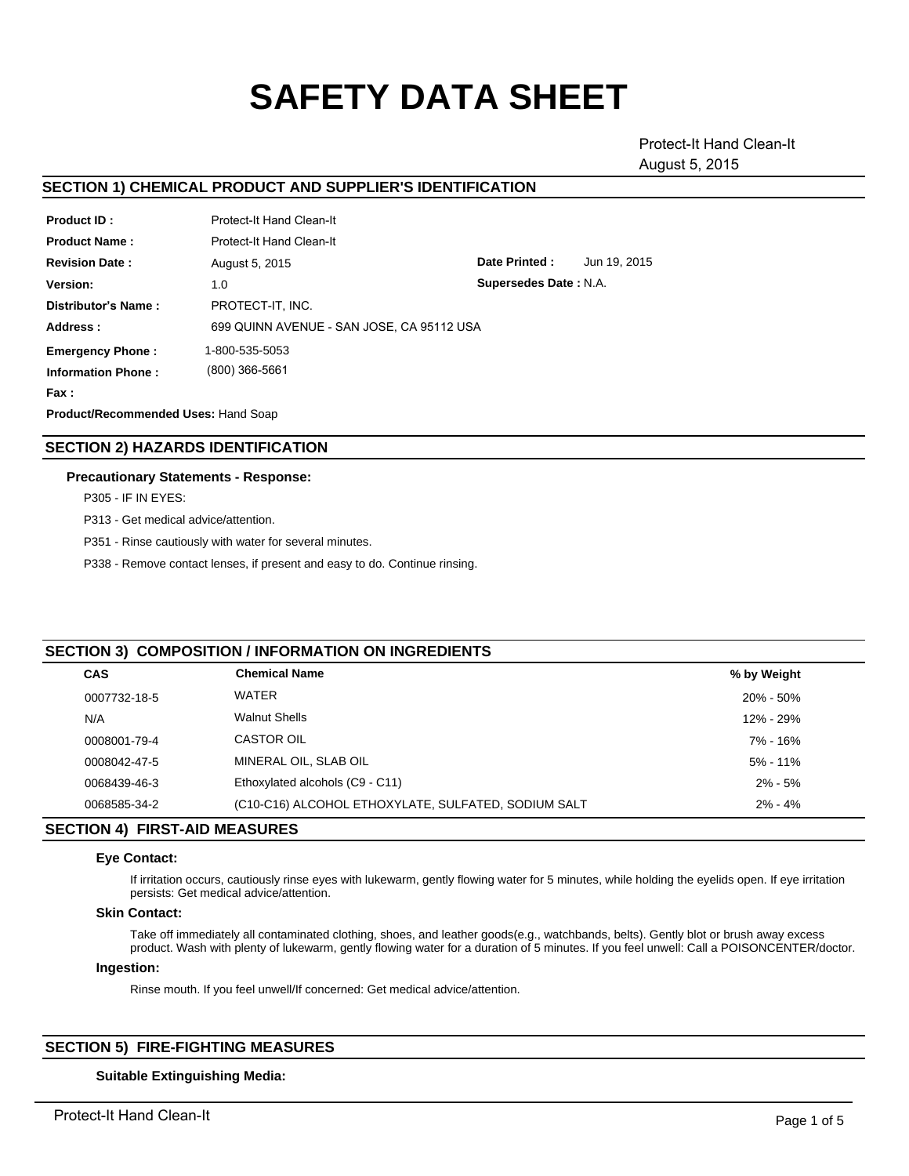# **SAFETY DATA SHEET**

Protect-It Hand Clean-It August 5, 2015

# **SECTION 1) CHEMICAL PRODUCT AND SUPPLIER'S IDENTIFICATION**

| <b>Product ID:</b>                  | Protect-It Hand Clean-It                  |                       |              |
|-------------------------------------|-------------------------------------------|-----------------------|--------------|
| <b>Product Name:</b>                | Protect-It Hand Clean-It                  |                       |              |
| <b>Revision Date:</b>               | August 5, 2015                            | Date Printed:         | Jun 19, 2015 |
| Version:                            | 1.0                                       | Supersedes Date: N.A. |              |
| Distributor's Name:                 | PROTECT-IT. INC.                          |                       |              |
| Address:                            | 699 QUINN AVENUE - SAN JOSE. CA 95112 USA |                       |              |
| <b>Emergency Phone:</b>             | 1-800-535-5053                            |                       |              |
| <b>Information Phone:</b>           | (800) 366-5661                            |                       |              |
| Fax :                               |                                           |                       |              |
| Product/Recommended Uses: Hand Soap |                                           |                       |              |

## **SECTION 2) HAZARDS IDENTIFICATION**

#### **Precautionary Statements - Response:**

P305 - IF IN EYES:

P313 - Get medical advice/attention.

P351 - Rinse cautiously with water for several minutes.

P338 - Remove contact lenses, if present and easy to do. Continue rinsing.

#### **SECTION 3) COMPOSITION / INFORMATION ON INGREDIENTS**

| <b>CAS</b>   | <b>Chemical Name</b>                                | % by Weight   |
|--------------|-----------------------------------------------------|---------------|
| 0007732-18-5 | <b>WATER</b>                                        | $20\% - 50\%$ |
| N/A          | <b>Walnut Shells</b>                                | 12% - 29%     |
| 0008001-79-4 | <b>CASTOR OIL</b>                                   | 7% - 16%      |
| 0008042-47-5 | MINERAL OIL, SLAB OIL                               | $5\% - 11\%$  |
| 0068439-46-3 | Ethoxylated alcohols (C9 - C11)                     | $2\% - 5\%$   |
| 0068585-34-2 | (C10-C16) ALCOHOL ETHOXYLATE, SULFATED, SODIUM SALT | $2\% - 4\%$   |
|              |                                                     |               |

# **SECTION 4) FIRST-AID MEASURES**

#### **Eye Contact:**

If irritation occurs, cautiously rinse eyes with lukewarm, gently flowing water for 5 minutes, while holding the eyelids open. If eye irritation persists: Get medical advice/attention.

#### **Skin Contact:**

Take off immediately all contaminated clothing, shoes, and leather goods(e.g., watchbands, belts). Gently blot or brush away excess product. Wash with plenty of lukewarm, gently flowing water for a duration of 5 minutes. If you feel unwell: Call a POISONCENTER/doctor.

#### **Ingestion:**

Rinse mouth. If you feel unwell/If concerned: Get medical advice/attention.

# **SECTION 5) FIRE-FIGHTING MEASURES**

## **Suitable Extinguishing Media:**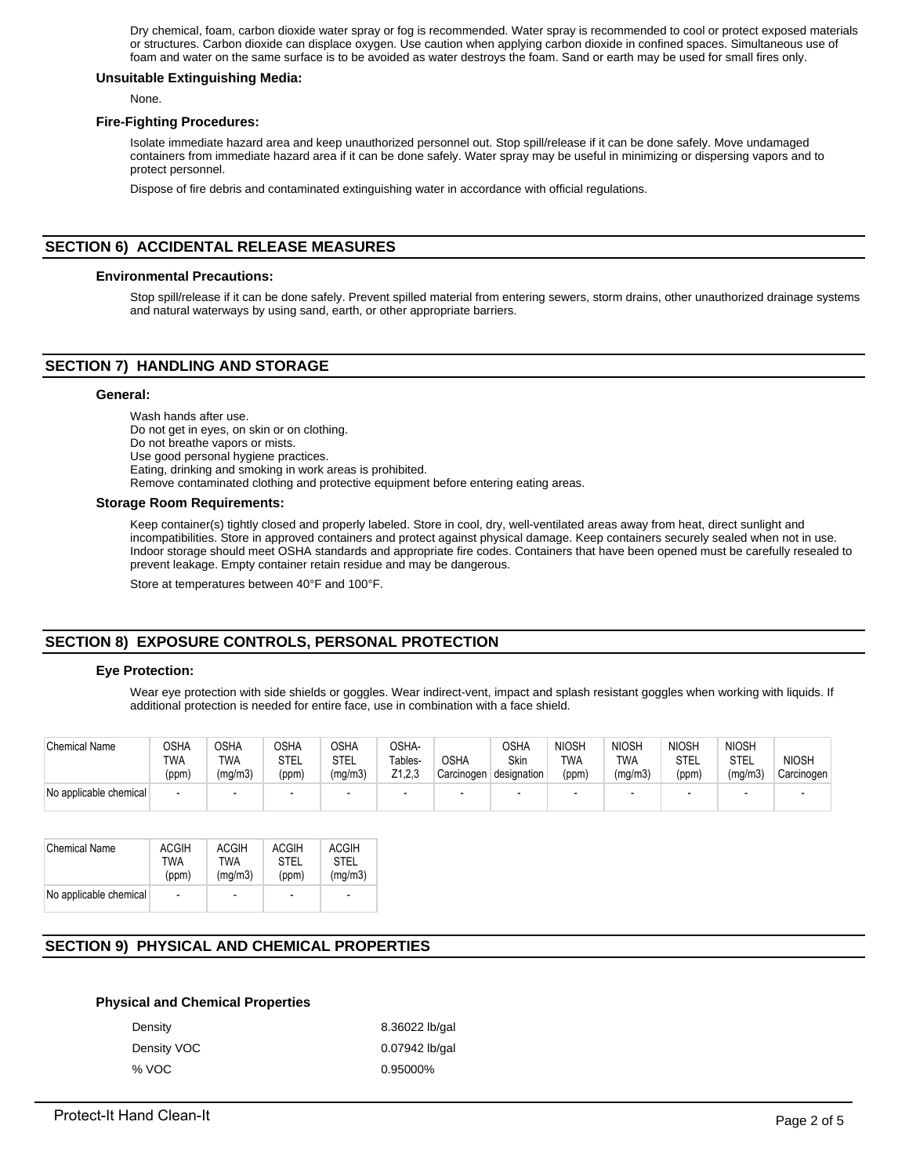Dry chemical, foam, carbon dioxide water spray or fog is recommended. Water spray is recommended to cool or protect exposed materials or structures. Carbon dioxide can displace oxygen. Use caution when applying carbon dioxide in confined spaces. Simultaneous use of foam and water on the same surface is to be avoided as water destroys the foam. Sand or earth may be used for small fires only.

#### **Unsuitable Extinguishing Media:**

None.

#### **Fire-Fighting Procedures:**

Isolate immediate hazard area and keep unauthorized personnel out. Stop spill/release if it can be done safely. Move undamaged containers from immediate hazard area if it can be done safely. Water spray may be useful in minimizing or dispersing vapors and to protect personnel.

Dispose of fire debris and contaminated extinguishing water in accordance with official regulations.

## **SECTION 6) ACCIDENTAL RELEASE MEASURES**

#### **Environmental Precautions:**

Stop spill/release if it can be done safely. Prevent spilled material from entering sewers, storm drains, other unauthorized drainage systems and natural waterways by using sand, earth, or other appropriate barriers.

# **SECTION 7) HANDLING AND STORAGE**

#### **General:**

Wash hands after use. Do not get in eyes, on skin or on clothing. Do not breathe vapors or mists. Use good personal hygiene practices. Eating, drinking and smoking in work areas is prohibited. Remove contaminated clothing and protective equipment before entering eating areas.

#### **Storage Room Requirements:**

Keep container(s) tightly closed and properly labeled. Store in cool, dry, well-ventilated areas away from heat, direct sunlight and incompatibilities. Store in approved containers and protect against physical damage. Keep containers securely sealed when not in use. Indoor storage should meet OSHA standards and appropriate fire codes. Containers that have been opened must be carefully resealed to prevent leakage. Empty container retain residue and may be dangerous.

Store at temperatures between 40°F and 100°F.

# **SECTION 8) EXPOSURE CONTROLS, PERSONAL PROTECTION**

#### **Eye Protection:**

Wear eye protection with side shields or goggles. Wear indirect-vent, impact and splash resistant goggles when working with liquids. If additional protection is needed for entire face, use in combination with a face shield.

| <b>Chemical Name</b>   | つSHA<br><b>TWA</b><br>(ppm) | <b>OSHA</b><br><b>TWA</b><br>(mg/m3) | <b>OSHA</b><br>STEL<br>(ppm) | OSHA<br>STEL<br>(mg/m3) | OSHA-<br>Tables-<br>Z1,2,3 | <b>OSHA</b><br>Carcinogen | OSHA<br>Skin<br>designation | <b>NIOSH</b><br><b>TWA</b><br>(ppm) | <b>NIOSH</b><br><b>TWA</b><br>(mg/m3) | <b>NIOSH</b><br>STEL<br>(ppm) | <b>NIOSH</b><br>STEL<br>(mg/m3) | <b>NIOSH</b><br>Carcinogen |
|------------------------|-----------------------------|--------------------------------------|------------------------------|-------------------------|----------------------------|---------------------------|-----------------------------|-------------------------------------|---------------------------------------|-------------------------------|---------------------------------|----------------------------|
| No applicable chemical | . .                         |                                      |                              |                         |                            | -                         |                             | $\overline{\phantom{0}}$            |                                       |                               |                                 |                            |

| <b>Chemical Name</b>   | <b>ACGIH</b>   | ACGIH                    | ACGIH                    | <b>ACGIH</b>             |
|------------------------|----------------|--------------------------|--------------------------|--------------------------|
|                        | TWA            | TWA                      | <b>STFI</b>              | STEL                     |
|                        | (ppm)          | (mq/m3)                  | (ppm)                    | (mq/m3)                  |
| No applicable chemical | $\blacksquare$ | $\overline{\phantom{a}}$ | $\overline{\phantom{a}}$ | $\overline{\phantom{a}}$ |

# **SECTION 9) PHYSICAL AND CHEMICAL PROPERTIES**

## **Physical and Chemical Properties**

| Density     | 8.36022 lb/gal |
|-------------|----------------|
| Density VOC | 0.07942 lb/gal |
| % VOC       | 0.95000%       |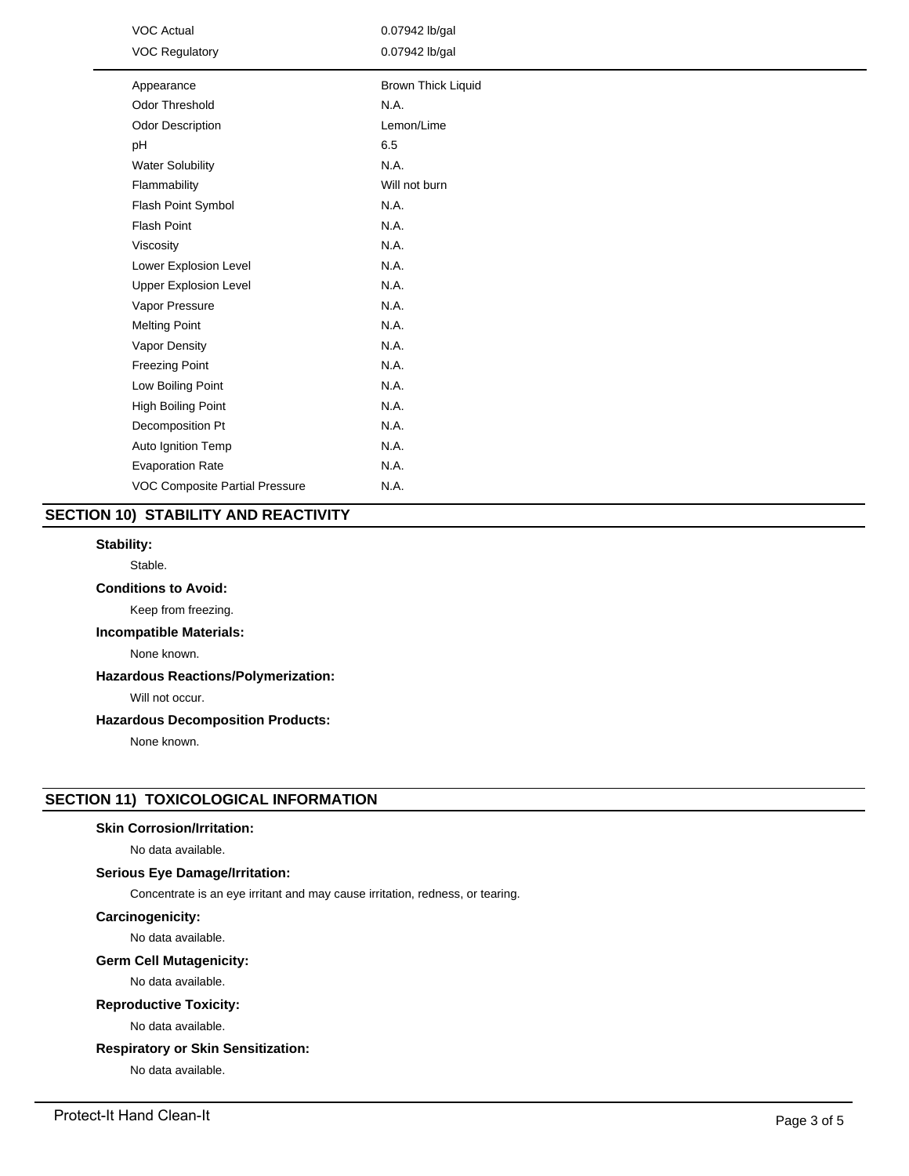| <b>VOC Actual</b><br><b>VOC Regulatory</b> | 0.07942 lb/gal<br>0.07942 lb/gal |  |  |
|--------------------------------------------|----------------------------------|--|--|
| Appearance                                 | <b>Brown Thick Liquid</b>        |  |  |
| <b>Odor Threshold</b>                      | N.A.                             |  |  |
| <b>Odor Description</b>                    | Lemon/Lime                       |  |  |
| pH                                         | 6.5                              |  |  |
| <b>Water Solubility</b>                    | N.A.                             |  |  |
| Flammability                               | Will not burn                    |  |  |
| Flash Point Symbol                         | N.A.                             |  |  |
| <b>Flash Point</b>                         | N.A.                             |  |  |
| Viscosity                                  | N.A.                             |  |  |
| Lower Explosion Level                      | N.A.                             |  |  |
| <b>Upper Explosion Level</b>               | N.A.                             |  |  |
| Vapor Pressure                             | N.A.                             |  |  |
| <b>Melting Point</b>                       | N.A.                             |  |  |
| Vapor Density                              | N.A.                             |  |  |
| <b>Freezing Point</b>                      | N.A.                             |  |  |
| Low Boiling Point                          | N.A.                             |  |  |
| High Boiling Point                         | N.A.                             |  |  |
| Decomposition Pt                           | N.A.                             |  |  |
| Auto Ignition Temp                         | N.A.                             |  |  |
| <b>Evaporation Rate</b>                    | N.A.                             |  |  |
| VOC Composite Partial Pressure             | N.A.                             |  |  |

# **SECTION 10) STABILITY AND REACTIVITY**

#### **Stability:**

Stable.

# **Conditions to Avoid:**

Keep from freezing.

# **Incompatible Materials:**

None known.

# **Hazardous Reactions/Polymerization:**

Will not occur.

# **Hazardous Decomposition Products:**

None known.

# **SECTION 11) TOXICOLOGICAL INFORMATION**

## **Skin Corrosion/Irritation:**

No data available.

## **Serious Eye Damage/Irritation:**

Concentrate is an eye irritant and may cause irritation, redness, or tearing.

#### **Carcinogenicity:**

No data available.

#### **Germ Cell Mutagenicity:**

No data available.

# **Reproductive Toxicity:**

No data available.

# **Respiratory or Skin Sensitization:**

No data available.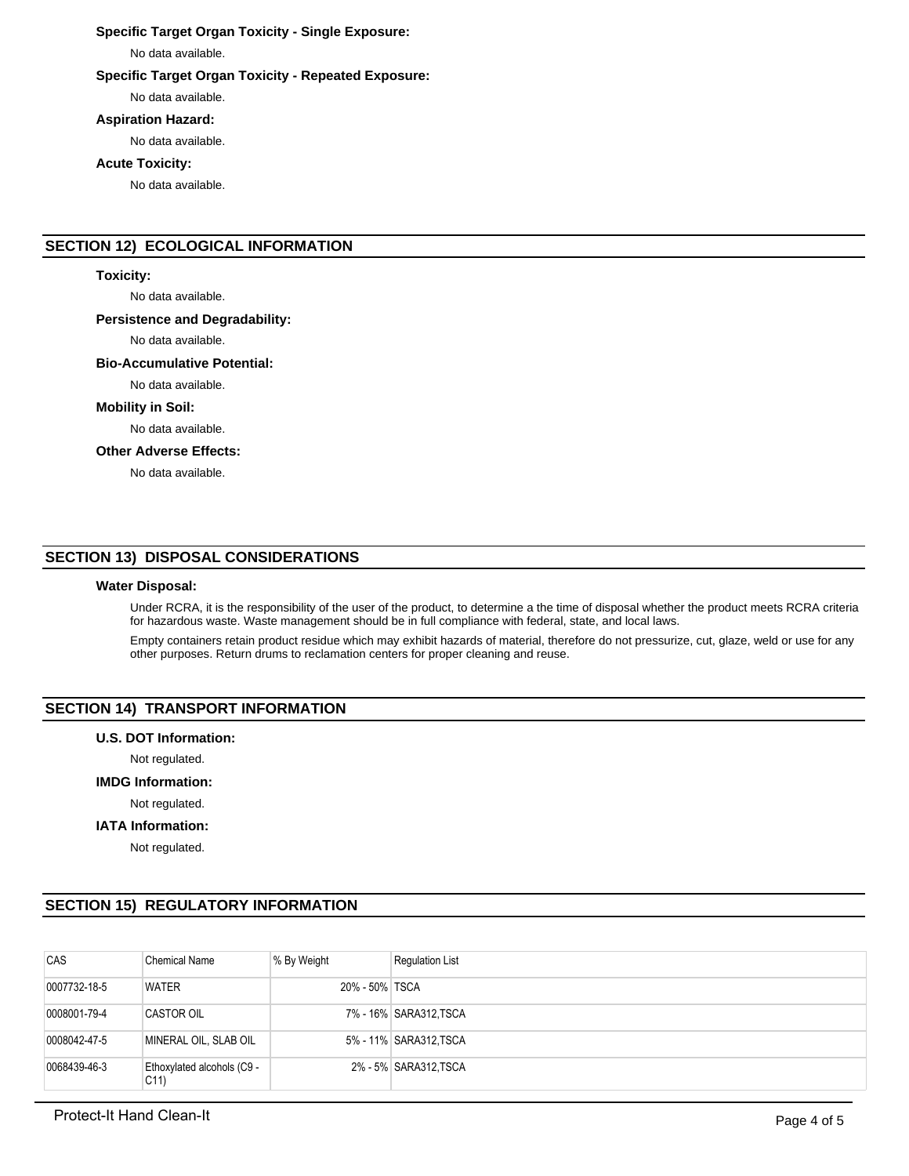# **Specific Target Organ Toxicity - Single Exposure:**

No data available.

#### **Specific Target Organ Toxicity - Repeated Exposure:**

No data available.

#### **Aspiration Hazard:**

No data available.

# **Acute Toxicity:**

No data available.

# **SECTION 12) ECOLOGICAL INFORMATION**

#### **Toxicity:**

No data available.

#### **Persistence and Degradability:**

No data available.

#### **Bio-Accumulative Potential:**

No data available.

#### **Mobility in Soil:**

No data available.

## **Other Adverse Effects:**

No data available.

# **SECTION 13) DISPOSAL CONSIDERATIONS**

#### **Water Disposal:**

Under RCRA, it is the responsibility of the user of the product, to determine a the time of disposal whether the product meets RCRA criteria for hazardous waste. Waste management should be in full compliance with federal, state, and local laws.

Empty containers retain product residue which may exhibit hazards of material, therefore do not pressurize, cut, glaze, weld or use for any other purposes. Return drums to reclamation centers for proper cleaning and reuse.

## **SECTION 14) TRANSPORT INFORMATION**

#### **U.S. DOT Information:**

Not regulated.

#### **IMDG Information:**

Not regulated.

#### **IATA Information:**

Not regulated.

# **SECTION 15) REGULATORY INFORMATION**

| CAS          | <b>Chemical Name</b>                          | % By Weight    | <b>Regulation List</b> |
|--------------|-----------------------------------------------|----------------|------------------------|
| 0007732-18-5 | <b>WATER</b>                                  | 20% - 50% TSCA |                        |
| 0008001-79-4 | <b>CASTOR OIL</b>                             |                | 7% - 16% SARA312, TSCA |
| 0008042-47-5 | MINERAL OIL, SLAB OIL                         |                | 5% - 11% SARA312, TSCA |
| 0068439-46-3 | Ethoxylated alcohols (C9 -<br>C <sub>11</sub> |                | 2% - 5% SARA312, TSCA  |